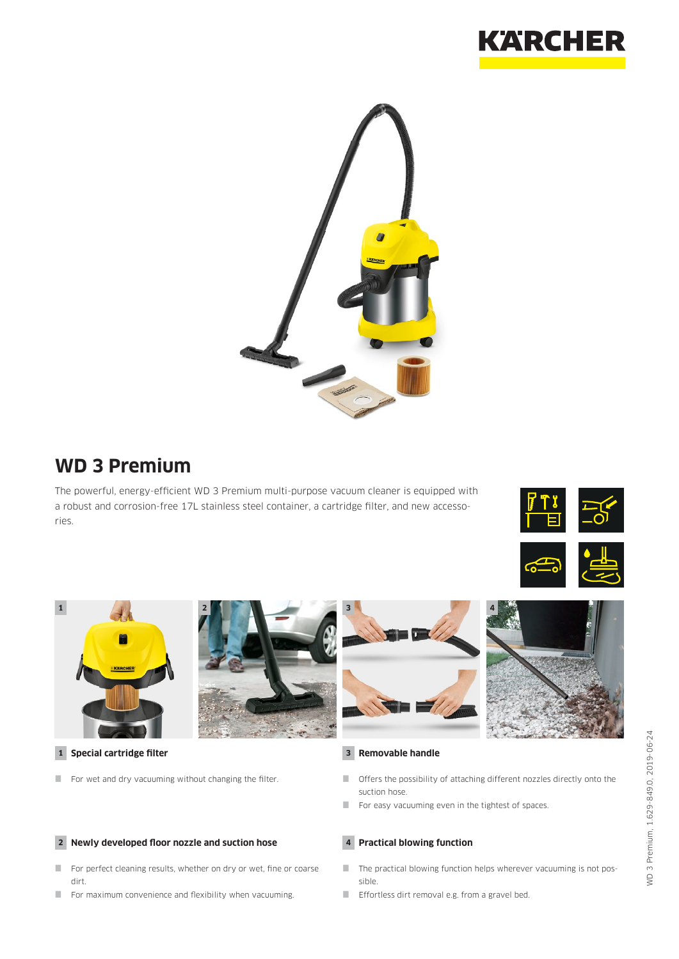



# **WD 3 Premium**

The powerful, energy-efficient WD 3 Premium multi-purpose vacuum cleaner is equipped with a robust and corrosion-free 17L stainless steel container, a cartridge filter, and new accessories.





**1 Special cartridge filter**

For wet and dry vacuuming without changing the filter.

### **2 Newly developed floor nozzle and suction hose**

- For perfect cleaning results, whether on dry or wet, fine or coarse dirt.
- $\blacksquare$  For maximum convenience and flexibility when vacuuming.



#### **3 Removable handle**

- Offers the possibility of attaching different nozzles directly onto the suction hose.
- For easy vacuuming even in the tightest of spaces.

#### **4 Practical blowing function**

- The practical blowing function helps wherever vacuuming is not possible.
- **Effortless dirt removal e.g. from a gravel bed.**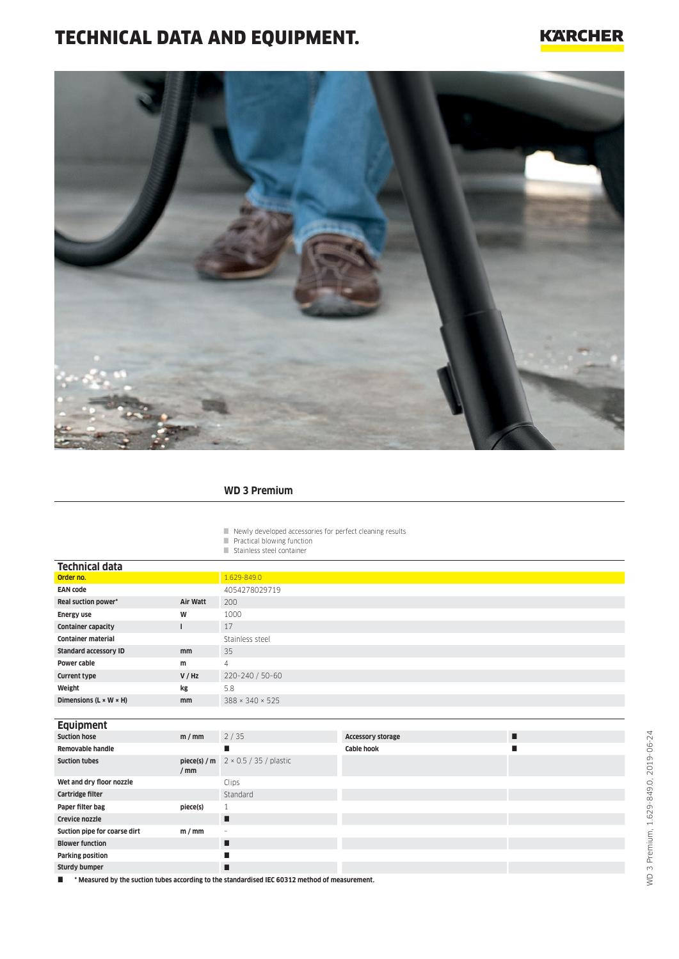# TECHNICAL DATA AND EQUIPMENT.



### **WD 3 Premium**

- $\blacksquare$  Newly developed accessories for perfect cleaning results
- **Practical blowing function**
- Stainless steel container

| Technical data                       |                     |                               |                          |   |
|--------------------------------------|---------------------|-------------------------------|--------------------------|---|
| Order no.                            |                     | 1.629-849.0                   |                          |   |
| <b>EAN code</b>                      |                     | 4054278029719                 |                          |   |
| Real suction power*                  | Air Watt            | 200                           |                          |   |
| <b>Energy use</b>                    | W                   | 1000                          |                          |   |
| <b>Container capacity</b>            | T                   | 17                            |                          |   |
| <b>Container material</b>            |                     | Stainless steel               |                          |   |
| <b>Standard accessory ID</b>         | mm                  | 35                            |                          |   |
| Power cable                          | m                   | 4                             |                          |   |
| <b>Current type</b>                  | V / Hz              | 220-240 / 50-60               |                          |   |
| Weight                               | kg                  | 5.8                           |                          |   |
| Dimensions ( $L \times W \times H$ ) | mm                  | 388 × 340 × 525               |                          |   |
|                                      |                     |                               |                          |   |
|                                      |                     |                               |                          |   |
| <b>Equipment</b>                     |                     |                               |                          |   |
| <b>Suction hose</b>                  | m/mm                | 2/35                          | <b>Accessory storage</b> | п |
| Removable handle                     |                     | п                             | <b>Cable hook</b>        | ■ |
| <b>Suction tubes</b>                 | piece(s) / m<br>/mm | $2 \times 0.5 / 35 /$ plastic |                          |   |
| Wet and dry floor nozzle             |                     | Clips                         |                          |   |
| Cartridge filter                     |                     | Standard                      |                          |   |
| Paper filter bag                     | piece(s)            | $\mathbf{1}$                  |                          |   |
| Crevice nozzle                       |                     | п                             |                          |   |
| Suction pipe for coarse dirt         | m/mm                | $\overline{\phantom{a}}$      |                          |   |
| <b>Blower function</b>               |                     | п                             |                          |   |
| <b>Parking position</b>              |                     | ■                             |                          |   |

 **\* Measured by the suction tubes according to the standardised IEC 60312 method of measurement.**